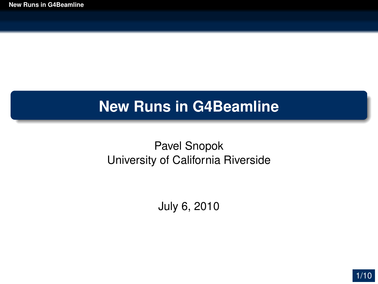#### **New Runs in G4Beamline**

#### <span id="page-0-0"></span>Pavel Snopok University of California Riverside

July 6, 2010

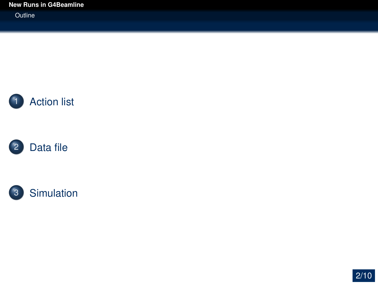**Outline** 







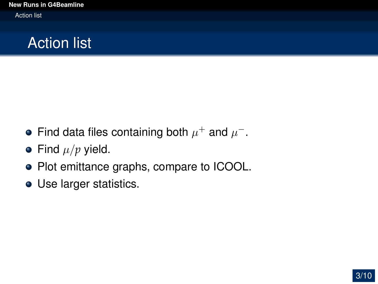# Action list

- Find data files containing both  $\mu^+$  and  $\mu^-$ .
- Find  $\mu/p$  yield.
- Plot emittance graphs, compare to ICOOL.
- <span id="page-2-0"></span>Use larger statistics.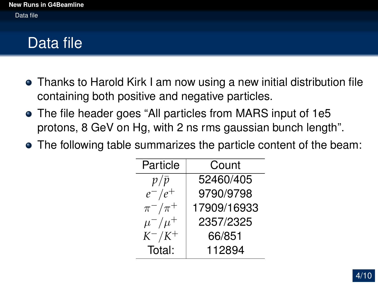## Data file

- Thanks to Harold Kirk I am now using a new initial distribution file containing both positive and negative particles.
- The file header goes "All particles from MARS input of 1e5 protons, 8 GeV on Hg, with 2 ns rms gaussian bunch length".
- <span id="page-3-0"></span>The following table summarizes the particle content of the beam:

| Particle      | Count       |  |  |  |  |
|---------------|-------------|--|--|--|--|
| $p/\bar{p}$   | 52460/405   |  |  |  |  |
| $e^-/e^+$     | 9790/9798   |  |  |  |  |
| $\pi^-/\pi^+$ | 17909/16933 |  |  |  |  |
| $\mu^-/\mu^+$ | 2357/2325   |  |  |  |  |
| $K^-/K^+$     | 66/851      |  |  |  |  |
| Total:        | 112894      |  |  |  |  |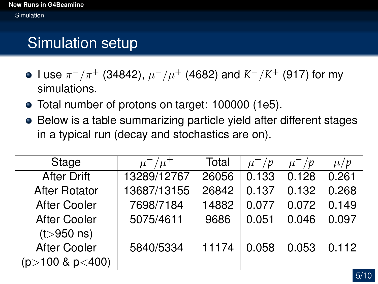# Simulation setup

- l use  $\pi^-/\pi^+$  (34842),  $\mu^-/\mu^+$  (4682) and  $K^-/K^+$  (917) for my simulations.
- Total number of protons on target: 100000 (1e5).
- Below is a table summarizing particle yield after different stages in a typical run (decay and stochastics are on).

<span id="page-4-0"></span>

| Stage                  | $\mu^-/\mu^+$ | Total | $\frac{1}{p}$ | $\mu^-$ / $p$ | $\mu/p$ |
|------------------------|---------------|-------|---------------|---------------|---------|
| <b>After Drift</b>     | 13289/12767   | 26056 | 0.133         | 0.128         | 0.261   |
| <b>After Rotator</b>   | 13687/13155   | 26842 | 0.137         | 0.132         | 0.268   |
| <b>After Cooler</b>    | 7698/7184     | 14882 | 0.077         | 0.072         | 0.149   |
| <b>After Cooler</b>    | 5075/4611     | 9686  | 0.051         | 0.046         | 0.097   |
| $(t > 950 \text{ ns})$ |               |       |               |               |         |
| <b>After Cooler</b>    | 5840/5334     | 11174 | 0.058         | 0.053         | 0.112   |
| $(p>100 \& p<400)$     |               |       |               |               |         |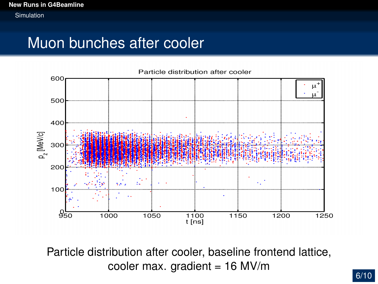#### Muon bunches after cooler



Particle distribution after cooler, baseline frontend lattice, cooler max. gradient =  $16$  MV/m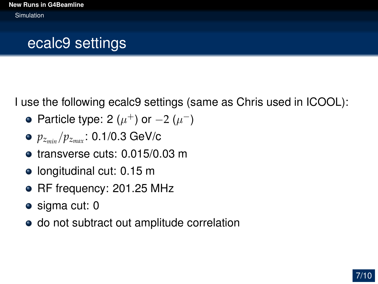## ecalc9 settings

I use the following ecalc9 settings (same as Chris used in ICOOL):

- Particle type: 2  $(\mu^+)$  or  $-2$   $(\mu^-)$
- *pzmin* /*pzmax* : 0.1/0.3 GeV/c
- **o** transverse cuts: 0.015/0.03 m
- $\bullet$  longitudinal cut: 0.15 m
- RF frequency: 201.25 MHz
- sigma cut: 0
- do not subtract out amplitude correlation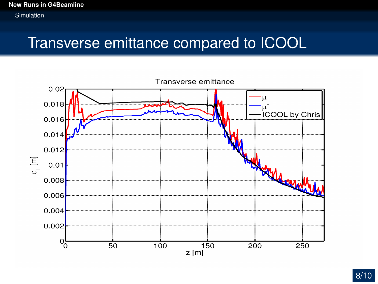#### Transverse emittance compared to ICOOL

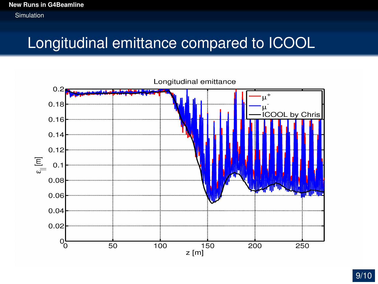#### **[New Runs in G4Beamline](#page-0-0)** Simulation

#### Longitudinal emittance compared to ICOOL